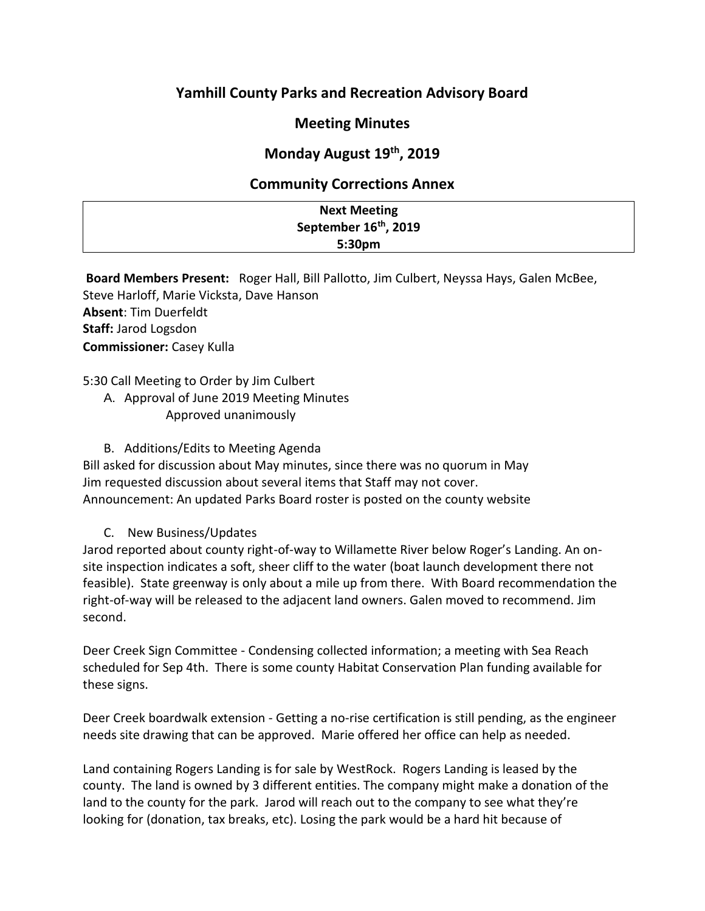# **Yamhill County Parks and Recreation Advisory Board**

## **Meeting Minutes**

## **Monday August 19th, 2019**

### **Community Corrections Annex**

| <b>Next Meeting</b>               |
|-----------------------------------|
| September 16 <sup>th</sup> , 2019 |
| 5:30 <sub>pm</sub>                |

**Board Members Present:** Roger Hall, Bill Pallotto, Jim Culbert, Neyssa Hays, Galen McBee, Steve Harloff, Marie Vicksta, Dave Hanson **Absent**: Tim Duerfeldt **Staff:** Jarod Logsdon **Commissioner:** Casey Kulla

5:30 Call Meeting to Order by Jim Culbert

- A. Approval of June 2019 Meeting Minutes Approved unanimously
- B. Additions/Edits to Meeting Agenda

Bill asked for discussion about May minutes, since there was no quorum in May Jim requested discussion about several items that Staff may not cover. Announcement: An updated Parks Board roster is posted on the county website

### C. New Business/Updates

Jarod reported about county right-of-way to Willamette River below Roger's Landing. An onsite inspection indicates a soft, sheer cliff to the water (boat launch development there not feasible). State greenway is only about a mile up from there. With Board recommendation the right-of-way will be released to the adjacent land owners. Galen moved to recommend. Jim second.

Deer Creek Sign Committee - Condensing collected information; a meeting with Sea Reach scheduled for Sep 4th. There is some county Habitat Conservation Plan funding available for these signs.

Deer Creek boardwalk extension - Getting a no-rise certification is still pending, as the engineer needs site drawing that can be approved. Marie offered her office can help as needed.

Land containing Rogers Landing is for sale by WestRock. Rogers Landing is leased by the county. The land is owned by 3 different entities. The company might make a donation of the land to the county for the park. Jarod will reach out to the company to see what they're looking for (donation, tax breaks, etc). Losing the park would be a hard hit because of